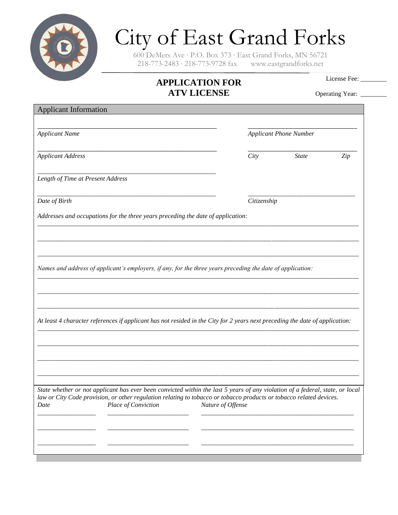

## City of East Grand Forks

600 DeMers Ave ∙ P.O. Box 373 ∙ East Grand Forks, MN 56721 218-773-2483 ∙ 218-773-9728 fax www.eastgrandforks.net

## **APPLICATION FOR ATV LICENSE**

License Fee:

Operating Year: \_\_\_\_\_\_\_\_

Applicant Information \_\_\_\_\_\_\_\_\_\_\_\_\_\_\_\_\_\_\_\_\_\_\_\_\_\_\_\_\_\_\_\_\_\_\_\_\_\_\_\_\_\_\_\_\_\_ \_\_\_\_\_\_\_\_\_\_\_\_\_\_\_\_\_\_\_\_\_\_\_\_\_\_\_\_ *Applicant Name Applicant Phone Number* \_\_\_\_\_\_\_\_\_\_\_\_\_\_\_\_\_\_\_\_\_\_\_\_\_\_\_\_\_\_\_\_\_\_\_\_\_\_\_\_\_\_\_\_\_\_ \_\_\_\_\_\_\_\_\_\_\_\_\_\_\_\_\_\_\_\_\_\_\_\_\_\_\_\_ *Applicant Address City State Zip \_\_\_\_\_\_\_\_\_\_\_\_\_\_\_\_\_\_\_\_\_\_\_\_\_\_\_\_\_\_\_\_\_\_\_\_\_\_\_\_\_\_\_\_\_\_\_\_\_\_\_\_\_\_\_ Length of Time at Present Address \_\_\_\_\_\_\_\_\_\_\_\_\_\_\_\_\_\_\_\_\_\_\_\_\_\_\_\_\_\_\_\_\_\_\_\_\_\_\_\_\_\_\_\_\_\_\_\_\_\_\_\_\_\_\_ \_\_\_\_\_\_\_\_\_\_\_\_\_\_\_\_\_\_\_\_\_\_\_\_\_\_\_\_\_\_\_\_\_ Date of Birth Citizenship Addresses and occupations for the three years preceding the date of application: \_\_\_\_\_\_\_\_\_\_\_\_\_\_\_\_\_\_\_\_\_\_\_\_\_\_\_\_\_\_\_\_\_\_\_\_\_\_\_\_\_\_\_\_\_\_\_\_\_\_\_\_\_\_\_\_\_\_\_\_\_\_\_\_\_\_\_\_\_\_\_\_\_\_\_\_\_\_\_\_\_\_\_\_\_\_\_\_\_\_\_\_\_\_\_\_\_\_\_ \_\_\_\_\_\_\_\_\_\_\_\_\_\_\_\_\_\_\_\_\_\_\_\_\_\_\_\_\_\_\_\_\_\_\_\_\_\_\_\_\_\_\_\_\_\_\_\_\_\_\_\_\_\_\_\_\_\_\_\_\_\_\_\_\_\_\_\_\_\_\_\_\_\_\_\_\_\_\_\_\_\_\_\_\_\_\_\_\_\_\_\_\_\_\_\_\_\_\_ \_\_\_\_\_\_\_\_\_\_\_\_\_\_\_\_\_\_\_\_\_\_\_\_\_\_\_\_\_\_\_\_\_\_\_\_\_\_\_\_\_\_\_\_\_\_\_\_\_\_\_\_\_\_\_\_\_\_\_\_\_\_\_\_\_\_\_\_\_\_\_\_\_\_\_\_\_\_\_\_\_\_\_\_\_\_\_\_\_\_\_\_\_\_\_\_\_\_\_ Names and address of applicant's employers, if any, for the three years preceding the date of application: \_\_\_\_\_\_\_\_\_\_\_\_\_\_\_\_\_\_\_\_\_\_\_\_\_\_\_\_\_\_\_\_\_\_\_\_\_\_\_\_\_\_\_\_\_\_\_\_\_\_\_\_\_\_\_\_\_\_\_\_\_\_\_\_\_\_\_\_\_\_\_\_\_\_\_\_\_\_\_\_\_\_\_\_\_\_\_\_\_\_\_\_\_\_\_\_\_\_\_ \_\_\_\_\_\_\_\_\_\_\_\_\_\_\_\_\_\_\_\_\_\_\_\_\_\_\_\_\_\_\_\_\_\_\_\_\_\_\_\_\_\_\_\_\_\_\_\_\_\_\_\_\_\_\_\_\_\_\_\_\_\_\_\_\_\_\_\_\_\_\_\_\_\_\_\_\_\_\_\_\_\_\_\_\_\_\_\_\_\_\_\_\_\_\_\_\_\_\_ \_\_\_\_\_\_\_\_\_\_\_\_\_\_\_\_\_\_\_\_\_\_\_\_\_\_\_\_\_\_\_\_\_\_\_\_\_\_\_\_\_\_\_\_\_\_\_\_\_\_\_\_\_\_\_\_\_\_\_\_\_\_\_\_\_\_\_\_\_\_\_\_\_\_\_\_\_\_\_\_\_\_\_\_\_\_\_\_\_\_\_\_\_\_\_\_\_\_\_ At least 4 character references if applicant has not resided in the City for 2 years next preceding the date of application: \_\_\_\_\_\_\_\_\_\_\_\_\_\_\_\_\_\_\_\_\_\_\_\_\_\_\_\_\_\_\_\_\_\_\_\_\_\_\_\_\_\_\_\_\_\_\_\_\_\_\_\_\_\_\_\_\_\_\_\_\_\_\_\_\_\_\_\_\_\_\_\_\_\_\_\_\_\_\_\_\_\_\_\_\_\_\_\_\_\_\_\_\_\_\_\_\_\_\_ \_\_\_\_\_\_\_\_\_\_\_\_\_\_\_\_\_\_\_\_\_\_\_\_\_\_\_\_\_\_\_\_\_\_\_\_\_\_\_\_\_\_\_\_\_\_\_\_\_\_\_\_\_\_\_\_\_\_\_\_\_\_\_\_\_\_\_\_\_\_\_\_\_\_\_\_\_\_\_\_\_\_\_\_\_\_\_\_\_\_\_\_\_\_\_\_\_\_\_ \_\_\_\_\_\_\_\_\_\_\_\_\_\_\_\_\_\_\_\_\_\_\_\_\_\_\_\_\_\_\_\_\_\_\_\_\_\_\_\_\_\_\_\_\_\_\_\_\_\_\_\_\_\_\_\_\_\_\_\_\_\_\_\_\_\_\_\_\_\_\_\_\_\_\_\_\_\_\_\_\_\_\_\_\_\_\_\_\_\_\_\_\_\_\_\_\_\_\_ \_\_\_\_\_\_\_\_\_\_\_\_\_\_\_\_\_\_\_\_\_\_\_\_\_\_\_\_\_\_\_\_\_\_\_\_\_\_\_\_\_\_\_\_\_\_\_\_\_\_\_\_\_\_\_\_\_\_\_\_\_\_\_\_\_\_\_\_\_\_\_\_\_\_\_\_\_\_\_\_\_\_\_\_\_\_\_\_\_\_\_\_\_\_\_\_\_\_\_ State whether or not applicant has ever been convicted within the last 5 years of any violation of a federal, state, or local law or City Code provision, or other regulation relating to tobacco or tobacco products or tobacco related devices. Date Place of Conviction Nature of Offense \_\_\_\_\_\_\_\_\_\_\_\_\_\_\_\_\_\_ \_\_\_\_\_\_\_\_\_\_\_\_\_\_\_\_\_\_\_\_\_\_\_\_\_ \_\_\_\_\_\_\_\_\_\_\_\_\_\_\_\_\_\_\_\_\_\_\_\_\_\_\_\_\_\_\_\_\_\_\_\_\_\_\_\_\_\_\_\_\_\_\_ \_\_\_\_\_\_\_\_\_\_\_\_\_\_\_\_\_\_ \_\_\_\_\_\_\_\_\_\_\_\_\_\_\_\_\_\_\_\_\_\_\_\_\_ \_\_\_\_\_\_\_\_\_\_\_\_\_\_\_\_\_\_\_\_\_\_\_\_\_\_\_\_\_\_\_\_\_\_\_\_\_\_\_\_\_\_\_\_\_\_\_ \_\_\_\_\_\_\_\_\_\_\_\_\_\_\_\_\_\_ \_\_\_\_\_\_\_\_\_\_\_\_\_\_\_\_\_\_\_\_\_\_\_\_\_ \_\_\_\_\_\_\_\_\_\_\_\_\_\_\_\_\_\_\_\_\_\_\_\_\_\_\_\_\_\_\_\_\_\_\_\_\_\_\_\_\_\_\_\_\_\_\_*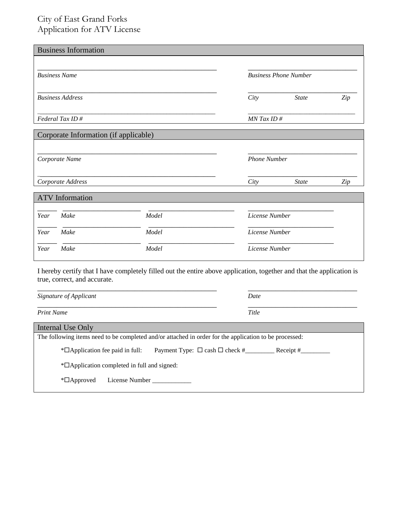## City of East Grand Forks Application for ATV License

| <b>Business Information</b> |                         |                                       |                              |                |     |
|-----------------------------|-------------------------|---------------------------------------|------------------------------|----------------|-----|
|                             |                         |                                       |                              |                |     |
| <b>Business Name</b>        |                         |                                       | <b>Business Phone Number</b> |                |     |
|                             |                         |                                       |                              |                |     |
|                             | <b>Business Address</b> |                                       | City                         | <b>State</b>   | Zip |
| Federal Tax ID#             |                         |                                       | $MN$ Tax ID $#$              |                |     |
|                             |                         | Corporate Information (if applicable) |                              |                |     |
|                             |                         |                                       |                              |                |     |
| Corporate Name              |                         |                                       | <b>Phone Number</b>          |                |     |
|                             |                         |                                       |                              |                |     |
|                             | Corporate Address       |                                       | City                         | <b>State</b>   | Zip |
|                             | <b>ATV</b> Information  |                                       |                              |                |     |
| Year                        | Make                    | Model                                 |                              | License Number |     |
| Year                        | Make                    | Model                                 |                              | License Number |     |
| Year                        | Make                    | Model                                 |                              | License Number |     |

I hereby certify that I have completely filled out the entire above application, together and that the application is true, correct, and accurate.

| Signature of Applicant                                                                                 | Date        |  |  |  |
|--------------------------------------------------------------------------------------------------------|-------------|--|--|--|
| <b>Print Name</b>                                                                                      | Title       |  |  |  |
| Internal Use Only                                                                                      |             |  |  |  |
| The following items need to be completed and/or attached in order for the application to be processed: |             |  |  |  |
| $*$ $\Box$ Application fee paid in full:                                                               | Receipt $#$ |  |  |  |
| *□ Application completed in full and signed:                                                           |             |  |  |  |
| License Number<br>$\mathbb{Z}$ Approved                                                                |             |  |  |  |